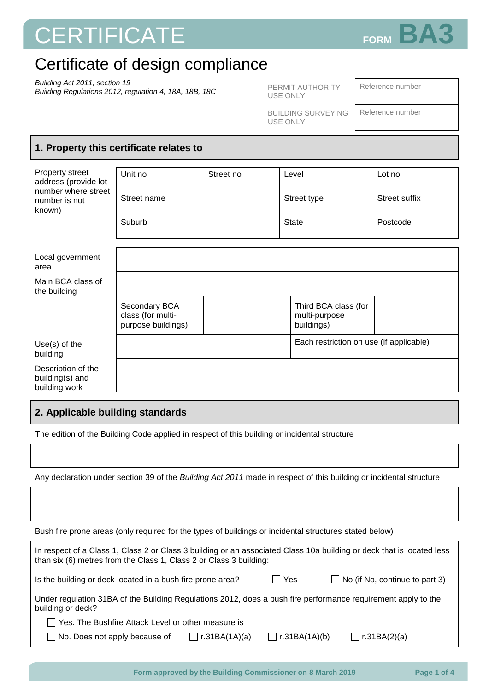# **CERTIFICATE** FORM BA



## Certificate of design compliance

*Building Act 2011, section 19 Building Regulations 2012, regulation 4, 18A, 18B, 18C*

PERMIT AUTHORITY USE ONLY

Reference number

BUILDING SURVEYING USE ONLY

Reference number

#### **1. Property this certificate relates to**

| Property street<br>address (provide lot                | Unit no                                                  | Street no | Level                                               | Lot no               |
|--------------------------------------------------------|----------------------------------------------------------|-----------|-----------------------------------------------------|----------------------|
| number where street<br>number is not<br>known)         | Street name                                              |           | Street type                                         | <b>Street suffix</b> |
|                                                        | Suburb                                                   |           | <b>State</b>                                        | Postcode             |
|                                                        |                                                          |           |                                                     |                      |
| Local government<br>area                               |                                                          |           |                                                     |                      |
| Main BCA class of<br>the building                      |                                                          |           |                                                     |                      |
|                                                        | Secondary BCA<br>class (for multi-<br>purpose buildings) |           | Third BCA class (for<br>multi-purpose<br>buildings) |                      |
| $Use(s)$ of the<br>building                            |                                                          |           | Each restriction on use (if applicable)             |                      |
| Description of the<br>building(s) and<br>building work |                                                          |           |                                                     |                      |
|                                                        |                                                          |           |                                                     |                      |

#### **2. Applicable building standards**

The edition of the Building Code applied in respect of this building or incidental structure

Any declaration under section 39 of the *Building Act 2011* made in respect of this building or incidental structure

Bush fire prone areas (only required for the types of buildings or incidental structures stated below)

| In respect of a Class 1, Class 2 or Class 3 building or an associated Class 10a building or deck that is located less<br>than six (6) metres from the Class 1, Class 2 or Class 3 building: |                      |               |                     |  |  |  |
|---------------------------------------------------------------------------------------------------------------------------------------------------------------------------------------------|----------------------|---------------|---------------------|--|--|--|
| $\Box$ No (if No, continue to part 3)<br>Is the building or deck located in a bush fire prone area?<br>l IYes                                                                               |                      |               |                     |  |  |  |
| Under regulation 31BA of the Building Regulations 2012, does a bush fire performance requirement apply to the<br>building or deck?                                                          |                      |               |                     |  |  |  |
| Yes. The Bushfire Attack Level or other measure is                                                                                                                                          |                      |               |                     |  |  |  |
| No. Does not apply because of                                                                                                                                                               | $\Box$ r.31BA(1A)(a) | r.31BA(1A)(b) | $\Box$ r.31BA(2)(a) |  |  |  |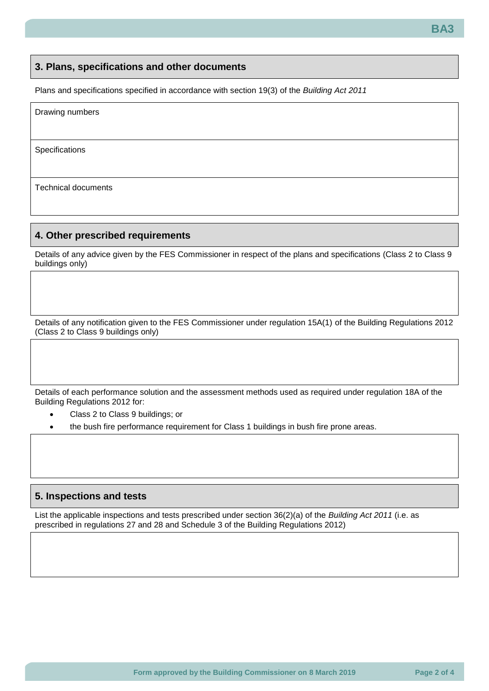#### **3. Plans, specifications and other documents**

Plans and specifications specified in accordance with section 19(3) of the *Building Act 2011*

| Drawing numbers |  |  |
|-----------------|--|--|
| Specifications  |  |  |
|                 |  |  |

Technical documents

#### **4. Other prescribed requirements**

Details of any advice given by the FES Commissioner in respect of the plans and specifications (Class 2 to Class 9 buildings only)

Details of any notification given to the FES Commissioner under regulation 15A(1) of the Building Regulations 2012 (Class 2 to Class 9 buildings only)

Details of each performance solution and the assessment methods used as required under regulation 18A of the Building Regulations 2012 for:

- Class 2 to Class 9 buildings; or
- the bush fire performance requirement for Class 1 buildings in bush fire prone areas.

#### **5. Inspections and tests**

List the applicable inspections and tests prescribed under section 36(2)(a) of the *Building Act 2011* (i.e. as prescribed in regulations 27 and 28 and Schedule 3 of the Building Regulations 2012)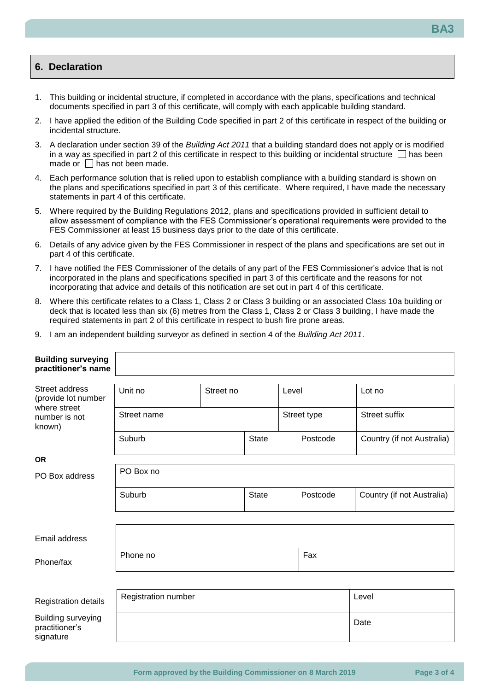#### **6. Declaration**

- 1. This building or incidental structure, if completed in accordance with the plans, specifications and technical documents specified in part 3 of this certificate, will comply with each applicable building standard.
- 2. I have applied the edition of the Building Code specified in part 2 of this certificate in respect of the building or incidental structure.
- 3. A declaration under section 39 of the *Building Act 2011* that a building standard does not apply or is modified in a way as specified in part 2 of this certificate in respect to this building or incidental structure  $\Box$  has been made or  $\Box$  has not been made.
- 4. Each performance solution that is relied upon to establish compliance with a building standard is shown on the plans and specifications specified in part 3 of this certificate. Where required, I have made the necessary statements in part 4 of this certificate.
- 5. Where required by the Building Regulations 2012, plans and specifications provided in sufficient detail to allow assessment of compliance with the FES Commissioner's operational requirements were provided to the FES Commissioner at least 15 business days prior to the date of this certificate.
- 6. Details of any advice given by the FES Commissioner in respect of the plans and specifications are set out in part 4 of this certificate.
- 7. I have notified the FES Commissioner of the details of any part of the FES Commissioner's advice that is not incorporated in the plans and specifications specified in part 3 of this certificate and the reasons for not incorporating that advice and details of this notification are set out in part 4 of this certificate.
- 8. Where this certificate relates to a Class 1, Class 2 or Class 3 building or an associated Class 10a building or deck that is located less than six (6) metres from the Class 1, Class 2 or Class 3 building, I have made the required statements in part 2 of this certificate in respect to bush fire prone areas.
- 9. I am an independent building surveyor as defined in section 4 of the *Building Act 2011*.

| <b>Building surveying</b><br>practitioner's name         |                     |           |              |             |          |                            |
|----------------------------------------------------------|---------------------|-----------|--------------|-------------|----------|----------------------------|
| Street address<br>(provide lot number<br>where street    | Unit no             | Street no |              | Level       |          | Lot no                     |
| number is not<br>known)                                  | Street name         |           |              | Street type |          | <b>Street suffix</b>       |
|                                                          | Suburb              |           | <b>State</b> |             | Postcode | Country (if not Australia) |
| <b>OR</b>                                                |                     |           |              |             |          |                            |
| PO Box address                                           | PO Box no           |           |              |             |          |                            |
|                                                          | Suburb              |           | <b>State</b> |             | Postcode | Country (if not Australia) |
|                                                          |                     |           |              |             |          |                            |
| Email address                                            |                     |           |              |             |          |                            |
| Phone/fax                                                | Fax<br>Phone no     |           |              |             |          |                            |
|                                                          |                     |           |              |             |          |                            |
| Registration details                                     | Registration number |           |              |             |          | Level                      |
| <b>Building surveying</b><br>practitioner's<br>signature |                     |           |              |             |          | Date                       |